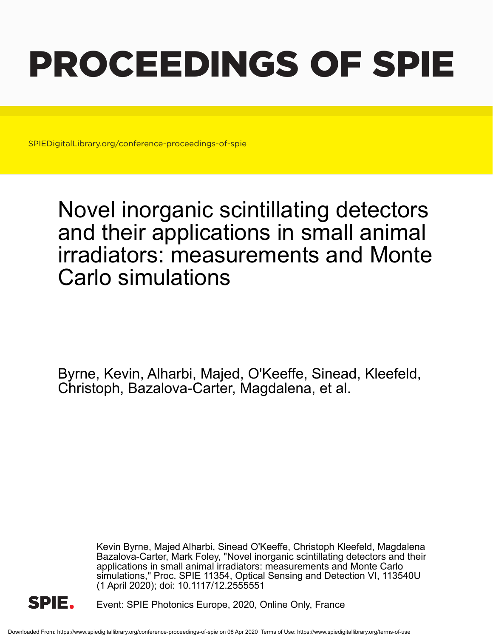# PROCEEDINGS OF SPIE

SPIEDigitalLibrary.org/conference-proceedings-of-spie

## Novel inorganic scintillating detectors and their applications in small animal irradiators: measurements and Monte Carlo simulations

Byrne, Kevin, Alharbi, Majed, O'Keeffe, Sinead, Kleefeld, Christoph, Bazalova-Carter, Magdalena, et al.

> Kevin Byrne, Majed Alharbi, Sinead O'Keeffe, Christoph Kleefeld, Magdalena Bazalova-Carter, Mark Foley, "Novel inorganic scintillating detectors and their applications in small animal irradiators: measurements and Monte Carlo simulations," Proc. SPIE 11354, Optical Sensing and Detection VI, 113540U (1 April 2020); doi: 10.1117/12.2555551



Event: SPIE Photonics Europe, 2020, Online Only, France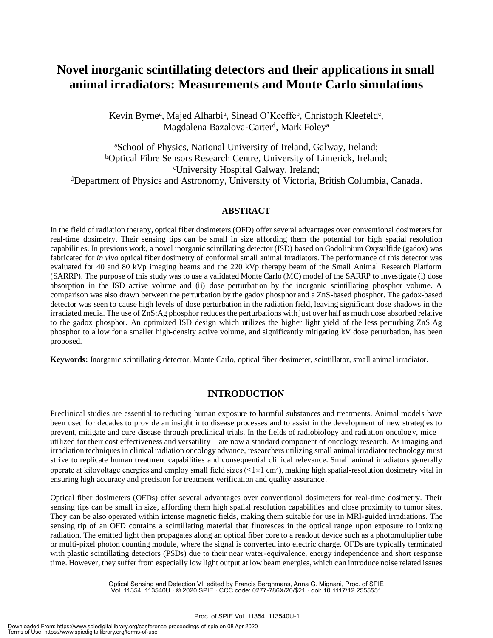### **Novel inorganic scintillating detectors and their applications in small animal irradiators: Measurements and Monte Carlo simulations**

Kevin Byrne<sup>a</sup>, Majed Alharbi<sup>a</sup>, Sinead O'Keeffe<sup>b</sup>, Christoph Kleefeld<sup>c</sup>, Magdalena Bazalova-Carter<sup>d</sup>, Mark Foley<sup>a</sup>

<sup>a</sup>School of Physics, National University of Ireland, Galway, Ireland; <sup>b</sup>Optical Fibre Sensors Research Centre, University of Limerick, Ireland; <sup>c</sup>University Hospital Galway, Ireland; <sup>d</sup>Department of Physics and Astronomy, University of Victoria, British Columbia, Canada.

#### **ABSTRACT**

In the field of radiation therapy, optical fiber dosimeters (OFD) offer several advantages over conventional dosimeters for real-time dosimetry. Their sensing tips can be small in size affording them the potential for high spatial resolution capabilities. In previous work, a novel inorganic scintillating detector (ISD) based on Gadolinium Oxysulfide (gadox) was fabricated for *in vivo* optical fiber dosimetry of conformal small animal irradiators. The performance of this detector was evaluated for 40 and 80 kVp imaging beams and the 220 kVp therapy beam of the Small Animal Research Platform (SARRP). The purpose of this study was to use a validated Monte Carlo (MC) model of the SARRP to investigate (i) dose absorption in the ISD active volume and (ii) dose perturbation by the inorganic scintillating phosphor volume. A comparison was also drawn between the perturbation by the gadox phosphor and a ZnS-based phosphor. The gadox-based detector was seen to cause high levels of dose perturbation in the radiation field, leaving significant dose shadows in the irradiated media. The use of ZnS:Ag phosphor reduces the perturbations with just over half as much dose absorbed relative to the gadox phosphor. An optimized ISD design which utilizes the higher light yield of the less perturbing ZnS:Ag phosphor to allow for a smaller high-density active volume, and significantly mitigating kV dose perturbation, has been proposed.

**Keywords:** Inorganic scintillating detector, Monte Carlo, optical fiber dosimeter, scintillator, small animal irradiator.

#### **INTRODUCTION**

Preclinical studies are essential to reducing human exposure to harmful substances and treatments. Animal models have been used for decades to provide an insight into disease processes and to assist in the development of new strategies to prevent, mitigate and cure disease through preclinical trials. In the fields of radiobiology and radiation oncology, mice – utilized for their cost effectiveness and versatility – are now a standard component of oncology research. As imaging and irradiation techniques in clinical radiation oncology advance, researchers utilizing small animal irradiator technology must strive to replicate human treatment capabilities and consequential clinical relevance. Small animal irradiators generally operate at kilovoltage energies and employ small field sizes  $(\leq 1 \times 1 \text{ cm}^2)$ , making high spatial-resolution dosimetry vital in ensuring high accuracy and precision for treatment verification and quality assurance.

Optical fiber dosimeters (OFDs) offer several advantages over conventional dosimeters for real-time dosimetry. Their sensing tips can be small in size, affording them high spatial resolution capabilities and close proximity to tumor sites. They can be also operated within intense magnetic fields, making them suitable for use in MRI-guided irradiations. The sensing tip of an OFD contains a scintillating material that fluoresces in the optical range upon exposure to ionizing radiation. The emitted light then propagates along an optical fiber core to a readout device such as a photomultiplier tube or multi-pixel photon counting module, where the signal is converted into electric charge. OFDs are typically terminated with plastic scintillating detectors (PSDs) due to their near water-equivalence, energy independence and short response time. However, they suffer from especially low light output at low beam energies, which can introduce noise related issues

> Optical Sensing and Detection VI, edited by Francis Berghmans, Anna G. Mignani, Proc. of SPIE Vol. 11354, 113540U · © 2020 SPIE · CCC code: 0277-786X/20/\$21 · doi: 10.1117/12.2555551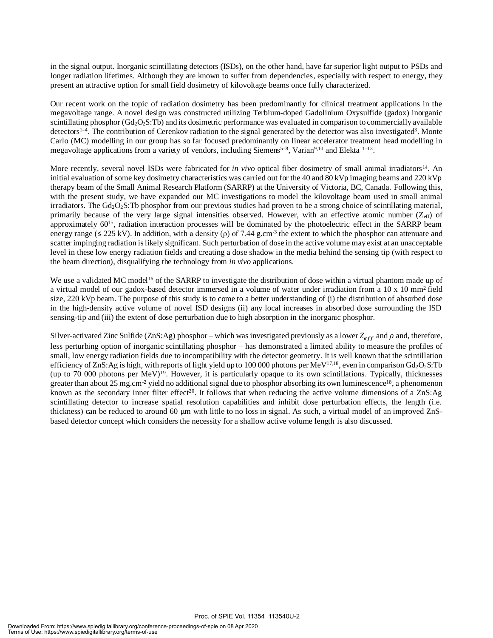in the signal output. Inorganic scintillating detectors (ISDs), on the other hand, have far superior light output to PSDs and longer radiation lifetimes. Although they are known to suffer from dependencies, especially with respect to energy, they present an attractive option for small field dosimetry of kilovoltage beams once fully characterized.

Our recent work on the topic of radiation dosimetry has been predominantly for clinical treatment applications in the megavoltage range. A novel design was constructed utilizing Terbium-doped Gadolinium Oxysulfide (gadox) inorganic scintillating phosphor ( $Gd_2O_2S$ :Tb) and its dosimetric performance was evaluated in comparison to commercially available detectors<sup>1-4</sup>. The contribution of Cerenkov radiation to the signal generated by the detector was also investigated<sup>3</sup>. Monte Carlo (MC) modelling in our group has so far focused predominantly on linear accelerator treatment head modelling in megavoltage applications from a variety of vendors, including Siemens<sup>5-8</sup>, Varian<sup>9,10</sup> and Elekta<sup>11-13</sup>.

More recently, several novel ISDs were fabricated for *in vivo* optical fiber dosimetry of small animal irradiators<sup>14</sup>. An initial evaluation of some key dosimetry characteristics was carried out for the 40 and 80 kVp imaging beams and 220 kVp therapy beam of the Small Animal Research Platform (SARRP) at the University of Victoria, BC, Canada. Following this, with the present study, we have expanded our MC investigations to model the kilovoltage beam used in small animal irradiators. The  $Gd_2O_2S$ : Tb phosphor from our previous studies had proven to be a strong choice of scintillating material, primarily because of the very large signal intensities observed. However, with an effective atomic number ( $Z_{\text{eff}}$ ) of approximately 60<sup>15</sup>, radiation interaction processes will be dominated by the photoelectric effect in the SARRP beam energy range ( $\leq 225 \text{ kV}$ ). In addition, with a density ( $\rho$ ) of 7.44 g.cm<sup>-3</sup> the extent to which the phosphor can attenuate and scatter impinging radiation is likely significant. Such perturbation of dose in the active volume may exist at an unacceptable level in these low energy radiation fields and creating a dose shadow in the media behind the sensing tip (with respect to the beam direction), disqualifying the technology from *in vivo* applications.

We use a validated MC model<sup>16</sup> of the SARRP to investigate the distribution of dose within a virtual phantom made up of a virtual model of our gadox-based detector immersed in a volume of water under irradiation from a 10 x 10 mm<sup>2</sup> field size, 220 kVp beam. The purpose of this study is to come to a better understanding of (i) the distribution of absorbed dose in the high-density active volume of novel ISD designs (ii) any local increases in absorbed dose surrounding the ISD sensing-tip and (iii) the extent of dose perturbation due to high absorption in the inorganic phosphor.

Silver-activated Zinc Sulfide (ZnS:Ag) phosphor – which was investigated previously as a lower  $Z_{eff}$  and  $\rho$  and, therefore, less perturbing option of inorganic scintillating phosphor – has demonstrated a limited ability to measure the profiles of small, low energy radiation fields due to incompatibility with the detector geometry. It is well known that the scintillation efficiency of ZnS:Ag is high, with reports of light yield up to 100 000 photons per MeV<sup>17,18</sup>, even in comparison Gd<sub>2</sub>O<sub>2</sub>S:Tb (up to 70 000 photons per MeV)<sup>19</sup>. However, it is particularly opaque to its own scintillations. Typically, thicknesses greater than about 25 mg.cm<sup>-2</sup> yield no additional signal due to phosphor absorbing its own luminescence<sup>18</sup>, a phenomenon known as the secondary inner filter effect<sup>20</sup>. It follows that when reducing the active volume dimensions of a ZnS:Ag scintillating detector to increase spatial resolution capabilities and inhibit dose perturbation effects, the length (i.e. thickness) can be reduced to around 60 μm with little to no loss in signal. As such, a virtual model of an improved ZnSbased detector concept which considers the necessity for a shallow active volume length is also discussed.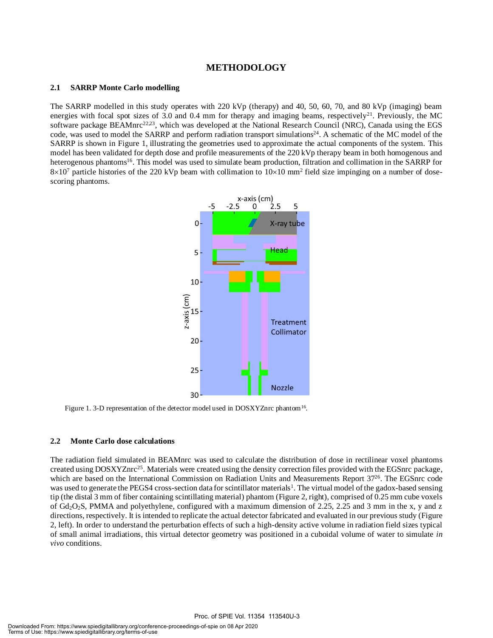#### **METHODOLOGY**

#### **2.1 SARRP Monte Carlo modelling**

The SARRP modelled in this study operates with 220 kVp (therapy) and 40, 50, 60, 70, and 80 kVp (imaging) beam energies with focal spot sizes of  $3.0$  and  $0.4$  mm for therapy and imaging beams, respectively<sup>21</sup>. Previously, the MC software package BEAMnrc<sup>22,23</sup>, which was developed at the National Research Council (NRC), Canada using the EGS code, was used to model the SARRP and perform radiation transport simulations<sup>24</sup>. A schematic of the MC model of the SARRP is shown in Figure 1, illustrating the geometries used to approximate the actual components of the system. This model has been validated for depth dose and profile measurements of the 220 kVp therapy beam in both homogenous and heterogenous phantoms<sup>16</sup>. This model was used to simulate beam production, filtration and collimation in the SARRP for  $8\times10^7$  particle histories of the 220 kVp beam with collimation to  $10\times10$  mm<sup>2</sup> field size impinging on a number of dosescoring phantoms.



Figure 1. 3-D representation of the detector model used in DOSXYZnrc phantom<sup>16</sup>.

#### **2.2 Monte Carlo dose calculations**

The radiation field simulated in BEAMnrc was used to calculate the distribution of dose in rectilinear voxel phantoms created using DOSXYZnrc<sup>25</sup>. Materials were created using the density correction files provided with the EGSnrc package, which are based on the International Commission on Radiation Units and Measurements Report 37<sup>26</sup>. The EGSnrc code was used to generate the PEGS4 cross-section data for scintillator materials<sup>1</sup>. The virtual model of the gadox-based sensing tip (the distal 3 mm of fiber containing scintillating material) phantom (Figure 2, right), comprised of 0.25 mm cube voxels of Gd2O2S, PMMA and polyethylene, configured with a maximum dimension of 2.25, 2.25 and 3 mm in the x, y and z directions, respectively. It is intended to replicate the actual detector fabricated and evaluated in our previous study (Figure 2, left). In order to understand the perturbation effects of such a high-density active volume in radiation field sizes typical of small animal irradiations, this virtual detector geometry was positioned in a cuboidal volume of water to simulate *in vivo* conditions.

Proc. of SPIE Vol. 11354 113540U-3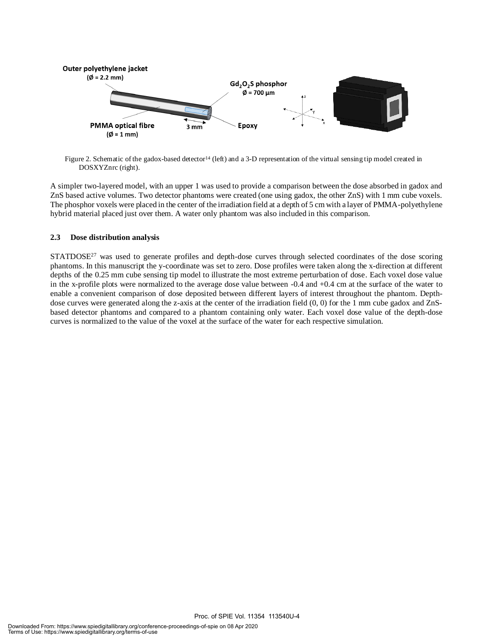

Figure 2. Schematic of the gadox-based detector<sup>14</sup> (left) and a 3-D representation of the virtual sensing tip model created in DOSXYZnrc (right).

A simpler two-layered model, with an upper 1 was used to provide a comparison between the dose absorbed in gadox and ZnS based active volumes. Two detector phantoms were created (one using gadox, the other ZnS) with 1 mm cube voxels. The phosphor voxels were placed in the center of the irradiation field at a depth of 5 cm with a layer of PMMA-polyethylene hybrid material placed just over them. A water only phantom was also included in this comparison.

#### **2.3 Dose distribution analysis**

STATDOSE<sup>27</sup> was used to generate profiles and depth-dose curves through selected coordinates of the dose scoring phantoms. In this manuscript the y-coordinate was set to zero. Dose profiles were taken along the x-direction at different depths of the 0.25 mm cube sensing tip model to illustrate the most extreme perturbation of dose. Each voxel dose value in the x-profile plots were normalized to the average dose value between -0.4 and +0.4 cm at the surface of the water to enable a convenient comparison of dose deposited between different layers of interest throughout the phantom. Depthdose curves were generated along the z-axis at the center of the irradiation field  $(0, 0)$  for the 1 mm cube gadox and ZnSbased detector phantoms and compared to a phantom containing only water. Each voxel dose value of the depth-dose curves is normalized to the value of the voxel at the surface of the water for each respective simulation.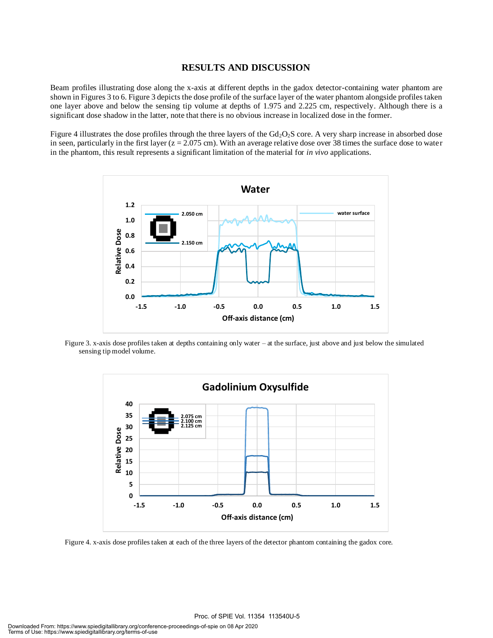#### **RESULTS AND DISCUSSION**

Beam profiles illustrating dose along the x-axis at different depths in the gadox detector-containing water phantom are shown in Figures 3 to 6. Figure 3 depicts the dose profile of the surface layer of the water phantom alongside profiles taken one layer above and below the sensing tip volume at depths of 1.975 and 2.225 cm, respectively. Although there is a significant dose shadow in the latter, note that there is no obvious increase in localized dose in the former.

Figure 4 illustrates the dose profiles through the three layers of the  $Gd_2O_2S$  core. A very sharp increase in absorbed dose in seen, particularly in the first layer  $(z = 2.075$  cm). With an average relative dose over 38 times the surface dose to water in the phantom, this result represents a significant limitation of the material for *in vivo* applications.



Figure 3. x-axis dose profiles taken at depths containing only water – at the surface, just above and just below the simulated sensing tip model volume.



Figure 4. x-axis dose profiles taken at each of the three layers of the detector phantom containing the gadox core.

Proc. of SPIE Vol. 11354 113540U-5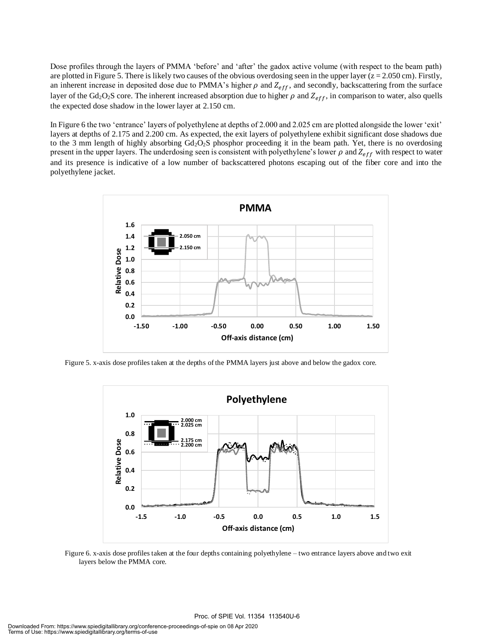Dose profiles through the layers of PMMA 'before' and 'after' the gadox active volume (with respect to the beam path) are plotted in Figure 5. There is likely two causes of the obvious overdosing seen in the upper layer ( $z = 2.050$  cm). Firstly, an inherent increase in deposited dose due to PMMA's higher  $\rho$  and  $Z_{eff}$ , and secondly, backscattering from the surface layer of the Gd<sub>2</sub>O<sub>2</sub>S core. The inherent increased absorption due to higher  $\rho$  and  $Z_{eff}$ , in comparison to water, also quells the expected dose shadow in the lower layer at 2.150 cm.

In Figure 6 the two 'entrance' layers of polyethylene at depths of 2.000 and 2.025 cm are plotted alongside the lower 'exit' layers at depths of 2.175 and 2.200 cm. As expected, the exit layers of polyethylene exhibit significant dose shadows due to the 3 mm length of highly absorbing  $Gd_2O_2S$  phosphor proceeding it in the beam path. Yet, there is no overdosing present in the upper layers. The underdosing seen is consistent with polyethylene's lower  $\rho$  and  $Z_{eff}$  with respect to water and its presence is indicative of a low number of backscattered photons escaping out of the fiber core and into the polyethylene jacket.



Figure 5. x-axis dose profiles taken at the depths of the PMMA layers just above and below the gadox core.



Figure 6. x-axis dose profiles taken at the four depths containing polyethylene – two entrance layers above and two exit layers below the PMMA core.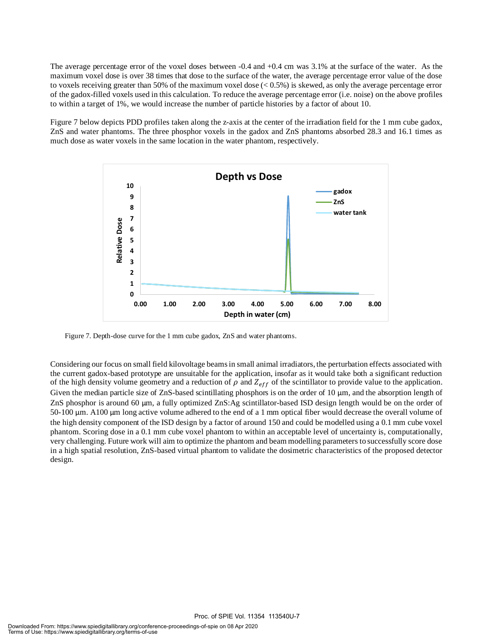The average percentage error of the voxel doses between -0.4 and +0.4 cm was 3.1% at the surface of the water. As the maximum voxel dose is over 38 times that dose to the surface of the water, the average percentage error value of the dose to voxels receiving greater than 50% of the maximum voxel dose  $( $0.5\%$ )$  is skewed, as only the average percentage error of the gadox-filled voxels used in this calculation. To reduce the average percentage error (i.e. noise) on the above profiles to within a target of 1%, we would increase the number of particle histories by a factor of about 10.

Figure 7 below depicts PDD profiles taken along the z-axis at the center of the irradiation field for the 1 mm cube gadox, ZnS and water phantoms. The three phosphor voxels in the gadox and ZnS phantoms absorbed 28.3 and 16.1 times as much dose as water voxels in the same location in the water phantom, respectively.



Figure 7. Depth-dose curve for the 1 mm cube gadox, ZnS and water phantoms.

Considering our focus on small field kilovoltage beams in small animal irradiators, the perturbation effects associated with the current gadox-based prototype are unsuitable for the application, insofar as it would take both a significant reduction of the high density volume geometry and a reduction of  $\rho$  and  $Z_{eff}$  of the scintillator to provide value to the application. Given the median particle size of ZnS-based scintillating phosphors is on the order of  $10 \mu m$ , and the absorption length of ZnS phosphor is around 60 μm, a fully optimized ZnS:Ag scintillator-based ISD design length would be on the order of 50-100 μm. A100 μm long active volume adhered to the end of a 1 mm optical fiber would decrease the overall volume of the high density component of the ISD design by a factor of around 150 and could be modelled using a 0.1 mm cube voxel phantom. Scoring dose in a 0.1 mm cube voxel phantom to within an acceptable level of uncertainty is, computationally, very challenging. Future work will aim to optimize the phantom and beam modelling parameters to successfully score dose in a high spatial resolution, ZnS-based virtual phantom to validate the dosimetric characteristics of the proposed detector design.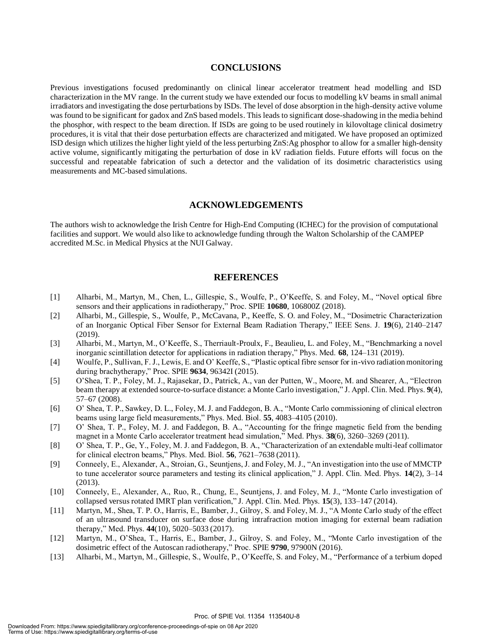#### **CONCLUSIONS**

Previous investigations focused predominantly on clinical linear accelerator treatment head modelling and ISD characterization in the MV range. In the current study we have extended our focus to modelling kV beams in small animal irradiators and investigating the dose perturbations by ISDs. The level of dose absorption in the high-density active volume was found to be significant for gadox and ZnS based models. This leads to significant dose-shadowing in the media behind the phosphor, with respect to the beam direction. If ISDs are going to be used routinely in kilovoltage clinical dosimetry procedures, it is vital that their dose perturbation effects are characterized and mitigated. We have proposed an optimized ISD design which utilizes the higher light yield of the less perturbing ZnS:Ag phosphor to allow for a smaller high-density active volume, significantly mitigating the perturbation of dose in kV radiation fields. Future efforts will focus on the successful and repeatable fabrication of such a detector and the validation of its dosimetric characteristics using measurements and MC-based simulations.

#### **ACKNOWLEDGEMENTS**

The authors wish to acknowledge the Irish Centre for High-End Computing (ICHEC) for the provision of computational facilities and support. We would also like to acknowledge funding through the Walton Scholarship of the CAMPEP accredited M.Sc.in Medical Physics at the NUI Galway.

#### **REFERENCES**

- [1] Alharbi, M., Martyn, M., Chen, L., Gillespie, S., Woulfe, P., O'Keeffe, S. and Foley, M., "Novel optical fibre sensors and their applications in radiotherapy," Proc. SPIE **10680**, 106800Z (2018).
- [2] Alharbi, M., Gillespie, S., Woulfe, P., McCavana, P., Keeffe, S. O. and Foley, M., "Dosimetric Characterization of an Inorganic Optical Fiber Sensor for External Beam Radiation Therapy," IEEE Sens. J. **19**(6), 2140–2147 (2019).
- [3] Alharbi, M., Martyn, M., O'Keeffe, S., Therriault-Proulx, F., Beaulieu, L. and Foley, M., "Benchmarking a novel inorganic scintillation detector for applications in radiation therapy," Phys. Med. **68**, 124–131 (2019).
- [4] Woulfe, P., Sullivan, F. J., Lewis, E. and O' Keeffe, S., "Plastic optical fibre sensor for in-vivo radiation monitoring during brachytherapy," Proc. SPIE **9634**, 96342I (2015).
- [5] O'Shea, T. P., Foley, M. J., Rajasekar, D., Patrick, A., van der Putten, W., Moore, M. and Shearer, A., "Electron beam therapy at extended source-to-surface distance: a Monte Carlo investigation," J. Appl. Clin. Med. Phys. **9**(4), 57–67 (2008).
- [6] O' Shea, T. P., Sawkey, D. L., Foley, M. J. and Faddegon, B. A., "Monte Carlo commissioning of clinical electron beams using large field measurements," Phys. Med. Biol. **55**, 4083–4105 (2010).
- [7] O' Shea, T. P., Foley, M. J. and Faddegon, B. A., "Accounting for the fringe magnetic field from the bending magnet in a Monte Carlo accelerator treatment head simulation," Med. Phys. **38**(6), 3260–3269 (2011).
- [8] O' Shea, T. P., Ge, Y., Foley, M. J. and Faddegon, B. A., "Characterization of an extendable multi-leaf collimator for clinical electron beams," Phys. Med. Biol. **56**, 7621–7638 (2011).
- [9] Conneely, E., Alexander, A., Stroian, G., Seuntjens, J. and Foley, M. J., "An investigation into the use of MMCTP to tune accelerator source parameters and testing its clinical application," J. Appl. Clin. Med. Phys. **14**(2), 3–14 (2013).
- [10] Conneely, E., Alexander, A., Ruo, R., Chung, E., Seuntjens, J. and Foley, M. J., "Monte Carlo investigation of collapsed versus rotated IMRT plan verification," J. Appl. Clin. Med. Phys. **15**(3), 133–147 (2014).
- [11] Martyn, M., Shea, T. P. O., Harris, E., Bamber, J., Gilroy, S. and Foley, M. J., "A Monte Carlo study of the effect of an ultrasound transducer on surface dose during intrafraction motion imaging for external beam radiation therapy," Med. Phys. **44**(10), 5020–5033 (2017).
- [12] Martyn, M., O'Shea, T., Harris, E., Bamber, J., Gilroy, S. and Foley, M., "Monte Carlo investigation of the dosimetric effect of the Autoscan radiotherapy," Proc. SPIE **9790**, 97900N (2016).
- [13] Alharbi, M., Martyn, M., Gillespie, S., Woulfe, P., O'Keeffe, S. and Foley, M., "Performance of a terbium doped